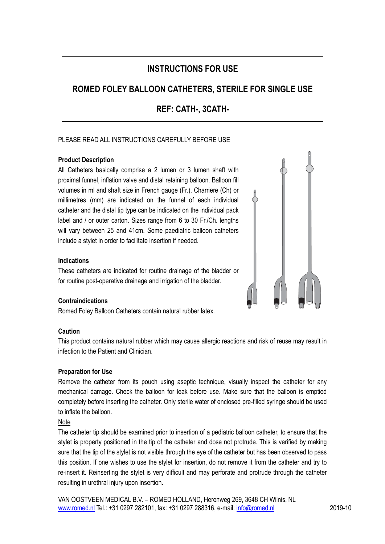# **INSTRUCTIONS FOR USE**

# **ROMED FOLEY BALLOON CATHETERS, STERILE FOR SINGLE USE**

**REF: CATH-, 3CATH-**

# PLEASE READ ALL INSTRUCTIONS CAREFULLY BEFORE USE

# **Product Description**

All Catheters basically comprise a 2 lumen or 3 lumen shaft with proximal funnel, inflation valve and distal retaining balloon. Balloon fill volumes in ml and shaft size in French gauge (Fr.), Charriere (Ch) or millimetres (mm) are indicated on the funnel of each individual catheter and the distal tip type can be indicated on the individual pack label and / or outer carton. Sizes range from 6 to 30 Fr./Ch. lengths will vary between 25 and 41cm. Some paediatric balloon catheters include a stylet in order to facilitate insertion if needed.

#### **Indications**

These catheters are indicated for routine drainage of the bladder or for routine post-operative drainage and irrigation of the bladder.

# **Contraindications**

Romed Foley Balloon Catheters contain natural rubber latex.

#### **Caution**

This product contains natural rubber which may cause allergic reactions and risk of reuse may result in infection to the Patient and Clinician.

#### **Preparation for Use**

Remove the catheter from its pouch using aseptic technique, visually inspect the catheter for any mechanical damage. Check the balloon for leak before use. Make sure that the balloon is emptied completely before inserting the catheter. Only sterile water of enclosed pre-filled syringe should be used to inflate the balloon.

#### **Note**

The catheter tip should be examined prior to insertion of a pediatric balloon catheter, to ensure that the stylet is property positioned in the tip of the catheter and dose not protrude. This is verified by making sure that the tip of the stylet is not visible through the eye of the catheter but has been observed to pass this position. If one wishes to use the stylet for insertion, do not remove it from the catheter and try to re-insert it. Reinserting the stylet is very difficult and may perforate and protrude through the catheter resulting in urethral injury upon insertion.

VAN OOSTVEEN MEDICAL B.V. – ROMED HOLLAND, Herenweg 269, 3648 CH Wilnis, NL [www.romed.nl](http://www.romed.nl/) Tel.: +31 0297 282101, fax: +31 0297 288316, e-mail[: info@romed.nl](mailto:info@romed.nl) 2019-10

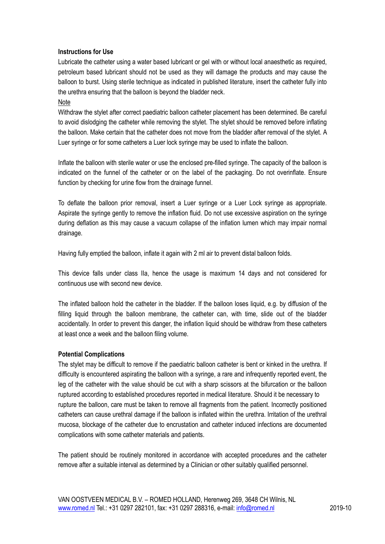#### **Instructions for Use**

Lubricate the catheter using a water based lubricant or gel with or without local anaesthetic as required, petroleum based lubricant should not be used as they will damage the products and may cause the balloon to burst. Using sterile technique as indicated in published literature, insert the catheter fully into the urethra ensuring that the balloon is beyond the bladder neck.

#### Note

Withdraw the stylet after correct paediatric balloon catheter placement has been determined. Be careful to avoid dislodging the catheter while removing the stylet. The stylet should be removed before inflating the balloon. Make certain that the catheter does not move from the bladder after removal of the stylet. A Luer syringe or for some catheters a Luer lock syringe may be used to inflate the balloon.

Inflate the balloon with sterile water or use the enclosed pre-filled syringe. The capacity of the balloon is indicated on the funnel of the catheter or on the label of the packaging. Do not overinflate. Ensure function by checking for urine flow from the drainage funnel.

To deflate the balloon prior removal, insert a Luer syringe or a Luer Lock syringe as appropriate. Aspirate the syringe gently to remove the inflation fluid. Do not use excessive aspiration on the syringe during deflation as this may cause a vacuum collapse of the inflation lumen which may impair normal drainage.

Having fully emptied the balloon, inflate it again with 2 ml air to prevent distal balloon folds.

This device falls under class IIa, hence the usage is maximum 14 days and not considered for continuous use with second new device.

The inflated balloon hold the catheter in the bladder. If the balloon loses liquid, e.g. by diffusion of the filling liquid through the balloon membrane, the catheter can, with time, slide out of the bladder accidentally. In order to prevent this danger, the inflation liquid should be withdraw from these catheters at least once a week and the balloon filing volume.

#### **Potential Complications**

The stylet may be difficult to remove if the paediatric balloon catheter is bent or kinked in the urethra. If difficulty is encountered aspirating the balloon with a syringe, a rare and infrequently reported event, the leg of the catheter with the value should be cut with a sharp scissors at the bifurcation or the balloon ruptured according to established procedures reported in medical literature. Should it be necessary to rupture the balloon, care must be taken to remove all fragments from the patient. Incorrectly positioned catheters can cause urethral damage if the balloon is inflated within the urethra. Irritation of the urethral mucosa, blockage of the catheter due to encrustation and catheter induced infections are documented complications with some catheter materials and patients.

The patient should be routinely monitored in accordance with accepted procedures and the catheter remove after a suitable interval as determined by a Clinician or other suitably qualified personnel.